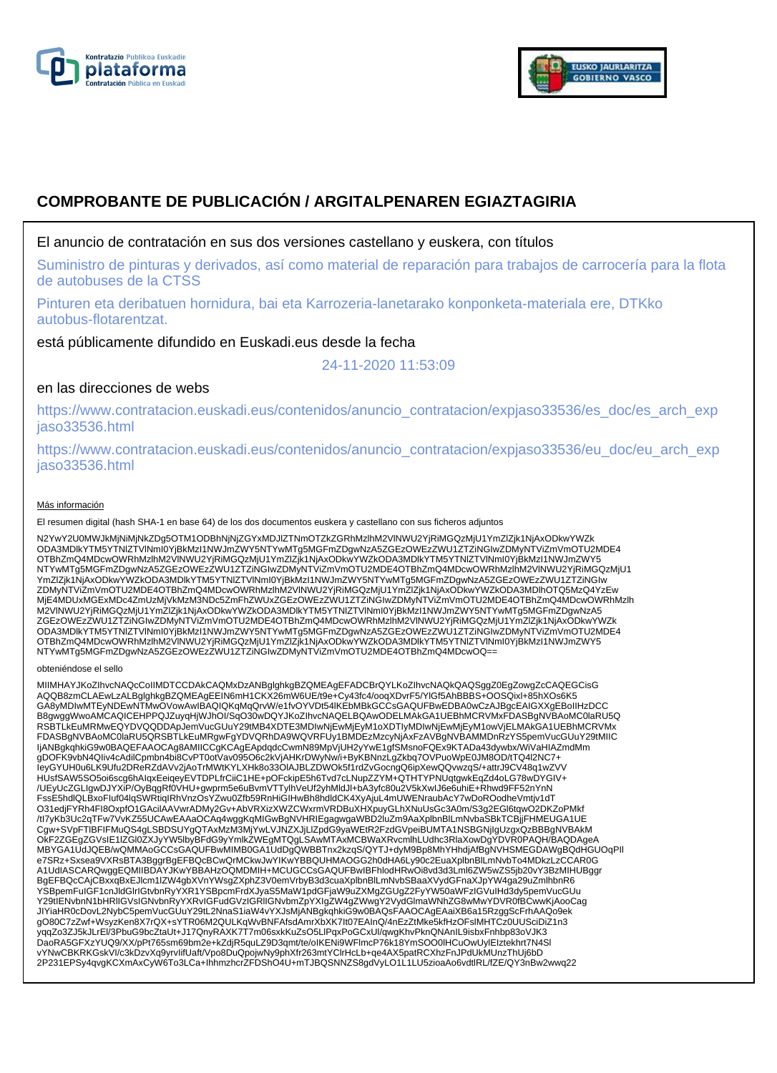



# **COMPROBANTE DE PUBLICACIÓN / ARGITALPENAREN EGIAZTAGIRIA**

## El anuncio de contratación en sus dos versiones castellano y euskera, con títulos

Suministro de pinturas y derivados, así como material de reparación para trabajos de carrocería para la flota de autobuses de la CTSS

Pinturen eta deribatuen hornidura, bai eta Karrozeria-lanetarako konponketa-materiala ere, DTKko autobus-flotarentzat.

está públicamente difundido en Euskadi.eus desde la fecha

24-11-2020 11:53:09

# en las direcciones de webs

https://www.contratacion.euskadi.eus/contenidos/anuncio\_contratacion/expjaso33536/es\_doc/es\_arch\_exp jaso33536.html

https://www.contratacion.euskadi.eus/contenidos/anuncio\_contratacion/expjaso33536/eu\_doc/eu\_arch\_exp jaso33536.html

#### Más información

El resumen digital (hash SHA-1 en base 64) de los dos documentos euskera y castellano con sus ficheros adjuntos

N2YwY2U0MWJkMjNiMjNkZDg5OTM1ODBhNjNjZGYxMDJlZTNmOTZkZGRhMzlhM2VlNWU2YjRiMGQzMjU1YmZlZjk1NjAxODkwYWZk ODA3MDlkYTM5YTNlZTVlNmI0YjBkMzI1NWJmZWY5NTYwMTg5MGFmZDgwNzA5ZGEzOWEzZWU1ZTZiNGIwZDMyNTViZmVmOTU2MDE4 OTBhZmQ4MDcwOWRhMzlhM2VlNWU2YjRiMGQzMjU1YmZlZjk1NjAxODkwYWZkODA3MDlkYTM5YTNlZTVlNml0YjBkMzI1NWJmZWY5<br>NTYwMTg5MGFmZDgwNzA5ZGEzOWEzZWU1ZTZiNGIwZDMyNTViZmVmOTU2MDE4OTBhZmQ4MDcwOWRhMzlhM2VlNWU2YjRiMGQzMjU1 YmZlZjk1NjAxODkwYWZkODA3MDlkYTM5YTNlZTVlNmI0YjBkMzI1NWJmZWY5NTYwMTg5MGFmZDgwNzA5ZGEzOWEzZWU1ZTZiNGIw<br>ZDMyNTViZmVmOTU2MDE4OTBhZmQ4MDcwOWRhMzlhM2VlNWU2YjRiMGQzMjU1YmZlZjk1NjAxODkwYWZkODA3MDlhOTQ5MzQ4YzEw MjE4MDUxMGExMDc4ZmUzMjVkMzM3NDc5ZmFhZWUxZGEzOWEzZWU1ZTZiNGIwZDMyNTViZmVmOTU2MDE4OTBhZmQ4MDcwOWRhMzlh M2VlNWU2YjRiMGQzMjU1YmZlZjk1NjAxODkwYWZkODA3MDlkYTM5YTNlZTVlNmI0YjBkMzI1NWJmZWY5NTYwMTg5MGFmZDgwNzA5 ZGEzOWEzZWU1ZTZiNGIwZDMyNTViZmVmOTU2MDE4OTBhZmQ4MDcwOWRhMzlhM2VlNWU2YjRiMGQzMjU1YmZlZjk1NjAxODkwYWZk ODA3MDlkYTM5YTNIZTVINmI0YjBkMzI1NWJmZWY5NTYwMTg5MGFmZDgwNzA5ZGEzOWEzZWU1ZTZiNGIwZDMyNTViZmVmOTU2MDE4<br>OTBhZmQ4MDcwOWRhMzIhM2VINWU2YjRiMGQzMjU1YmZlZjk1NjAxODkwYWZkODA3MDlkYTM5YTNIZTVINmI0YjBkMzI1NWJmZWY5<br>NTYwMTg5MGFmZDgwNzA5

#### obteniéndose el sello

MIIMHAYJKoZIhvcNAQcCoIIMDTCCDAkCAQMxDzANBglghkgBZQMEAgEFADCBrQYLKoZIhvcNAQkQAQSggZ0EgZowgZcCAQEGCisG AQQB8zmCLAEwLzALBglghkgBZQMEAgEEIN6mH1CKX26mW6UE/t9e+Cy43fc4/ooqXDvrF5/YIGf5AhBBBS+OOSQixl+85hXOs6K5<br>GA8yMDIwMTEyNDEwNTMwOVowAwIBAQIQKqMqQrvW/e1fvOYVDt54lKEbMBkGCCsGAQUFBwEDBA0wCzAJBgcEAIGXXgEBoIIHzDCC B8gwggWwoAMCAQICEHPPQJZuyqHjWJhOI/SqO30wDQYJKoZIhvcNAQELBQAwODELMAkGA1UEBhMCRVMxFDASBgNVBAoMC0laRU5Q RSBTLkEuMRMwEQYDVQQDDApJemVucGUuY29tMB4XDTE3MDIwNjEwMjEyM1oXDTIyMDIwNjEwMjEyM1owVjELMAkGA1UEBhMCRVMx FDASBgNVBAoMC0laRU5QRSBTLkEuMRgwFgYDVQRhDA9WQVRFUy1BMDEzMzcyNjAxFzAVBgNVBAMMDnRzYS5pemVucGUuY29tMIIC IjANBgkqhkiG9w0BAQEFAAOCAg8AMIICCgKCAgEApdqdcCwmN89MpVjUH2yYwE1gfSMsnoFQEx9KTADa43dywbx/WiVaHIAZmdMm gDOFK9vbN4QIiv4cAdilCpmbn4bi8CvPT0otVav095O6c2kVjAHKrDWyNw/i+ByKBNnzLgZkbq7OVPuoWpE0JM8OD/tTQ4l2NC7+ IeyGYUH0u6LK9Ufu2DReRZdAVv2jAoTrMWtKYLXHk8o33OlAJBLZDWOk5f1rdZvGocngQ6ipXewQQvwzqS/+attrJ9CV48q1wZVV HUsfSAW5SO5oi6scg6hAIqxEeiqeyEVTDPLfrCiiC1HE+pOFckipE5h6Tvd7cLNupZZYM+QTHTYPNUqtgwkEqZd4oLG78wDYGIV+<br>/UEyUcZGLIgwDJYXiP/OyBqgRf0VHU+gwprm5e6uBvmVTTylhVeUf2yhMldJl+bA3yfc80u2V5kXwIJ6e6uhiE+Rhwd9FF52nYnN FssE5hdlQLBxoFIuf04lqSWRtiqIRhVnzOsYZwu0Zfb59RnHiGIHwBh8hdldCK4XyAjuL4mUWENraubAcY7wDoROodheVmtjv1dT O31edjFYRh4FI8OxpfO1GAcilAAVwrADMy2Gv+AbVRXizXWZCWxrmVRDBuXHXpuyGLhXNuUsGc3A0m/S3g2EGl6tqwO2DKZoPMkf /tI7yKb3Uc2qTFw7VvKZ55UCAwEAAaOCAq4wggKqMIGwBgNVHRIEgagwgaWBD2luZm9AaXplbnBlLmNvbaSBkTCBjjFHMEUGA1UE Cgw+SVpFTlBFIFMuQS4gLSBDSUYgQTAxMzM3MjYwLVJNZXJjLlZpdG9yaWEtR2FzdGVpeiBUMTA1NSBGNjIgUzgxQzBBBgNVBAkM OkF2ZGEgZGVsIE1IZGl0ZXJyYW5lbyBFdG9yYmlkZWEgMTQgLSAwMTAxMCBWaXRvcmlhLUdhc3RlaXowDgYDVR0PAQH/BAQDAgeA<br>MBYGA1UdJQEB/wQMMAoGCCsGAQUFBwMIMB0GA1UdDgQWBBTnx2kzqS/QYTJ+dyM9Bp8MhYHhdjAfBgNVHSMEGDAWgBQdHGUOqPlI e7SRz+Sxsea9VXRsBTA3BggrBgEFBQcBCwQrMCkwJwYIKwYBBQUHMAOGG2h0dHA6Ly90c2EuaXplbnBlLmNvbTo4MDkzLzCCAR0G<br>A1UdIASCARQwggEQMIIBDAYJKwYBBAHzOQMDMIH+MCUGCCsGAQUFBwIBFhlodHRwOi8vd3d3Lml6ZW5wZS5jb20vY3BzMIHUBggr BgEFBQcCAjCBxxqBxEJlcm1lZW4gbXVnYWsgZXphZ3V0emVrbyB3d3cuaXplbnBlLmNvbSBaaXVydGFnaXJpYW4ga29uZmlhbnR6 YSBpemFuIGF1cnJldGlrIGtvbnRyYXR1YSBpcmFrdXJyaS5MaW1pdGFjaW9uZXMgZGUgZ2FyYW50aWFzIGVuIHd3dy5pemVucGUu Y29tIENvbnN1bHRlIGVsIGNvbnRyYXRvIGFudGVzIGRlIGNvbmZpYXIgZW4gZWwgY2VydGlmaWNhZG8wMwYDVR0fBCwwKjAooCag JIYiaHR0cDovL2NybC5pemVucGUuY29tL2NnaS1iaW4vYXJsMjANBgkqhkiG9w0BAQsFAAOCAgEAaiXB6a15RzggScFrhAAQo9ek gO80C7zZwf+WsyzKen8X7rQX+sYTR06M2QULKqWvBNFAfsdAmrXbXK7lt07EAInQ/4nEzZtMke5kfHzOFslMHTCz0UUSciDiZ1n3<br>yqqZo3ZJ5kJLrEl/3PbuG9bcZtaUt+J17QnyRAXK7T7m06sxkKuZsO5LlPqxPoGCxUl/qwgKhvPknQNAnIL9isbxFnhbp83oVJK3 DaoRA5GFXzYUQ9/XX/pPt765sm69bm2e+kZdjR5quLZ9D3qmt/te/oIKENi9WFlmcP76k18YmSOO0lHCuOwUylEIztekhrt7N4Sl vYNwCBKRKGskVI/c3kDzvXq9yrvIifUaft/Vpo8DuQpojwNy9phXfr263mtYClrHcLb+qe4AX5patRCXhzFnJPdUkMUnzThUj6bD 2P231EPSy4qvgKCXmAxCyW6To3LCa+IhhmzhcrZFDShO4U+mTJBQSNNZS8gdVyLO1L1LU5zioaAo6vdtlRL/fZE/QY3nBw2wwq22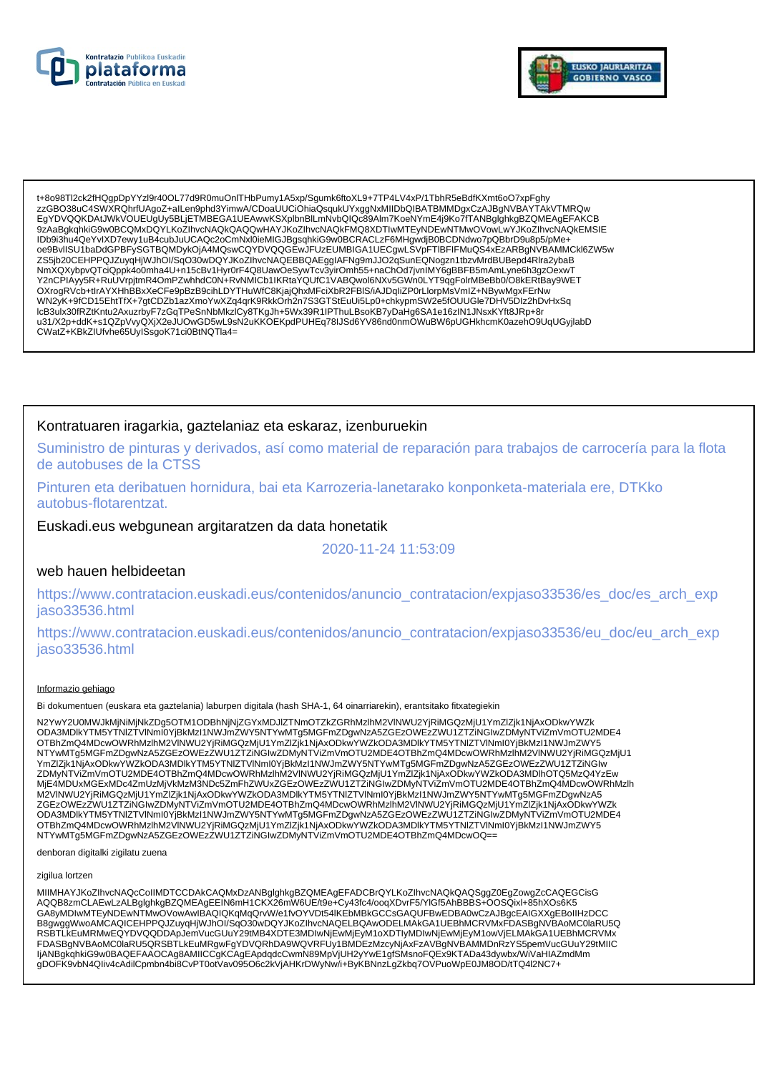



t+8o98Tl2ck2fHQgpDpYYzl9r40OL77d9R0muOnlTHbPumy1A5xp/Sgumk6ftoXL9+7TP4LV4xP/1TbhR5eBdfKXmt6oO7xpFghy zzGBO38uC4SWXRQhrfUAgoZ+alLen9phd3YimwA/CDoaUUCiOhiaQsqukUYxggNxMIIDbQIBATBMMDgxCzAJBgNVBAYTAkVTMRQw EgYDVQQKDAtJWkVOUEUgUy5BLjETMBEGA1UEAwwKSXplbnBlLmNvbQlQc89Alm7KoeNYmE4j9Ko7fTANBglghkgBZQMEAgEFAKCB 9ZAaBgkqhkiG9w0BCQMxDQYLKoZIhvcNAQkQAQQwHAYJKoZIhvcNAQkFMQ8XDTIwMTEyNDEwNTMwOVowLwYJKoZIhvcNAQkEMSIE IDb9i3hu4QeYvIXD7ewy1uB4cubJuUCAQc2oCmNxl0ieMIGJBgsqhkiG9w0BCRACLzF6MHgwdjB0BCDNdwo7pQBbrD9u8p5/pMe+ oe9BvllSU1baDdGPBFySGTBQMDykOjA4MQswCQYDVQQGEwJFUzEUMBIGA1UECgwLSVpFTIBFIFMuQS4xEzARBgNVBAMMCkl6ZW5w ZS5jb20CEHPPQJZuyqHjWJhOl/SqO30wDQYJKoZlhvcNAQEBBQAEgglAFNg9mJJO2qSunEQNogzn1tbzvMrdBUBepd4Rlra2ybaB NmXQXybpvQTciQppk4o0mha4U+n15cBv1Hyr0rF4Q8UawOeSywTcv3yirOmh55+naChOd7jvnIMY6gBBFB5mAmLyne6h3gzOexwT<br>Y2nCPIAyy5R+RuUVrpjtmR4OmPZwhhdC0N+RvNMICb1lKRtaYQUfC1VABQwol6NXv5GWn0LYT9qgFolrMBeBb0/O8kERtBay9WET<br>OXrogRVcb+tlrAYXHhBB WN2yK+9fCD15EhtTfX+7gtCDZb1azXmoYwXZq4qrK9RkkOrh2n7S3GTStEuUi5Lp0+chkypmSW2e5fOUUGle7DHV5Dlz2hDvHxSq IcB3ulx30fRZtKntu2AxuzrbyF7zGqTPeSnNbMkzICy8TKgJh+5Wx39R1IPThuLBsoKB7yDaHg6SA1e16zIN1JNsxKYft8JRp+8r u31/X2p+ddK+s1QZpVvyQXjX2eJUOwGD5wL9sN2uKKOEKpdPUHEq78IJSd6YV86nd0nmOWuBW6pUGHkhcmK0azenO9UqUGyjlabD CWatZ+KBkZIUfvhe65UyISsgoK71ci0BtNQTla4=

### Kontratuaren iragarkia, gaztelaniaz eta eskaraz, izenburuekin

Suministro de pinturas y derivados, así como material de reparación para trabajos de carrocería para la flota de autobuses de la CTSS

Pinturen eta deribatuen hornidura, bai eta Karrozeria-lanetarako konponketa-materiala ere, DTKko autobus-flotarentzat.

Euskadi.eus webgunean argitaratzen da data honetatik

2020-11-24 11:53:09

### web hauen helbideetan

https://www.contratacion.euskadi.eus/contenidos/anuncio\_contratacion/expjaso33536/es\_doc/es\_arch\_exp jaso33536.html

https://www.contratacion.euskadi.eus/contenidos/anuncio\_contratacion/expjaso33536/eu\_doc/eu\_arch\_exp iaso33536.html

#### Informazio gehiago

Bi dokumentuen (euskara eta gaztelania) laburpen digitala (hash SHA-1, 64 oinarriarekin), erantsitako fitxategiekin

N2YwY2U0MWJkMjNiMjNkZDq5OTM1ODBhNjNjZGYxMDJIZTNmOTZkZGRhMzlhM2VINWU2YjRiMGQzMjU1YmZlZjk1NjAxODkwYWZk ODA3MDIkYTM5YTNIZTVINmI0YjBkMzI1NWJmZWY5NTYwMTg5MGFmZDgwNzA5ZGEzOWEzZWU1ZTZiNGIwZDMyNTViZmVmOTU2MDE4 OTBhZmQ4MDcwOWRhMzIhM2VINWU2YjRiMGQzMjU1YmZlZjk1NjAxODkwYWZkODA3MDlkYTM5YTNIZTVINmI0YjBkMzI1NWJmZWY5 NTYwMTg5MGFmZDgwNzA5ZGEzOWEzZWU1ZTZiNGIwZDMyNTViZmVmOTU2MDE4OTBhZmQ4MDcwOWRhMzIhM2VINWU2YjRiMGQzMjU1 YmZlZjk1NjAxODkwYWZkODA3MDlkYTM5YTNIZTVINmI0YjBkMzI1NWJmZWY5NTYwMTg5MGFmZDgwNzA5ZGEzOWEzZWU1ZTZiNGIw TIILLEJA INNAODAN TWAKODASINIDIKTI INISTITUILLEITYINTIINTYISHAA TOINAA TYYKITTYINTYINTYILLEITYYMINTOTOAN TAINE<br>ZDMyNTVIZmVmOTU2MDE4OTBhZmQ4MDcwOWRhMzIhM2VINWU2YjRiMGQzMjU1YmZlZjk1NjAxODkwYWZkODA3MDIhOTQ5MzQ4YzEw<br>MjE4MDUxMG M2VINWU2YjRiMGQzMjU1Ym2lZjk1NjAxODkwYWZkODA3MDlkYTM5YTNlZTVlNml0YjBkMzl1NWJmZWY5NTYwMTg5MGFmZDgwNzA5 ZGEzOWEzZWU1ZTZINGIwZDMyNTVIZmVmOTU2MDE4OTBhZmQ4MDcwOWRhMzInM2VINWU2YjRiMGQzMjU1YmZlZjk1NjAxODkwYWZk ODA3MDlkYTM5YTNIZTVINmI0YjBkMzI1NWJmZWY5NTYwMTg5MGFmZDgwNzA5ZGEzOWEzZWU1ZTZiNGIwZDMyNTViZmVmOTU2MDE4 OTBhZmQ4MDcwOWRhMzIhM2VINWU2YjRiMGQzMjU1YmZlZjk1NjAxODkwYWZkODA3MDlkYTM5YTNIZTVINmI0YjBkMzI1NWJmZWY5 NTYwMTg5MGFmZDgwNzA5ZGEzOWEzZWU1ZTZiNGIwZDMyNTViZmVmOTU2MDE4OTBhZmQ4MDcwOQ==

denboran digitalki zigilatu zuena

zigilua lortzen

MIIMHAYJKoZIhvcNAQcCoIIMDTCCDAkCAQMxDzANBglghkgBZQMEAgEFADCBrQYLKoZIhvcNAQkQAQSggZ0EgZowgZcCAQEGCisG<br>AQQB8zmCLAEwLzALBglghkgBZQMEAgEEIN6mH1CKX26mW6UE/t9e+Cy43fc4/ooqXDvrF5/YIGf5AhBBBS+OOSQixl+85hXOs6K5 GA8yMDIwMTEyNDEwNTMwOVowAwIBAQIQKqMqQrvW/e1fvOYVDt54IKEbMBkGCCsGAQUFBwEDBA0wCzAJBgcEAIGXXgEBoIIHzDCC B8gwggWwoAMCAQICEHPPQJZuyqHjWJhOI/SqO30wDQYJKoZIhvcNAQELBQAwODELMAkGA1UEBhMCRVMxFDASBgNVBAoMC0laRU5Q RSBTLKEuMRMwEQYDVQQDDApJemVucGUuY29tMB4XDTE3MDIwNjEwMjEyM1oXDTIyMDIwNjEwMjEyM1owVjELMAkGA1UEBhMCRVMx FDASBgNVBAoMC0laRU5QRSBTLkEuMRgwFgYDVQRhDA9WQVRFUy1BMDEzMzcyNjAxFzAVBgNVBAMMDnRzYS5pemVucGUuY29tMIIC ljANBgkqhkiG9w0BAQEFAAOCAg8AMIICCgKCAgEApdqdcCwmN89MpVjUH2yYwE1gfSMsnoFQEx9KTADa43dywbx/WiVaHIAZmdMm gDOFK9vbN4Qliv4cAdilCpmbn4bi8CvPT0otVav095O6c2kVjAHKrDWyNw/i+ByKBNnzLgZkbq7OVPuoWpE0JM8OD/tTQ4l2NC7+